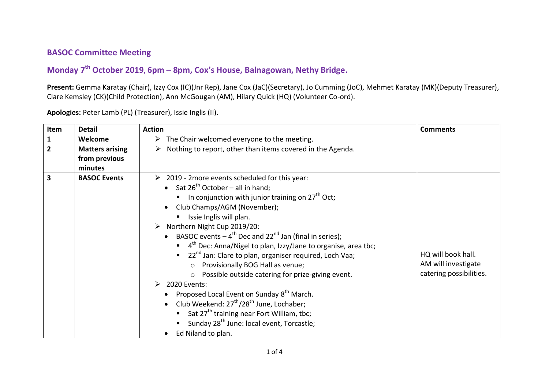## **BASOC Committee Meeting**

## **Monday 7 th October 2019, 6pm – 8pm, Cox's House, Balnagowan, Nethy Bridge.**

**Present:** Gemma Karatay (Chair), Izzy Cox (IC)(Jnr Rep), Jane Cox (JaC)(Secretary), Jo Cumming (JoC), Mehmet Karatay (MK)(Deputy Treasurer), Clare Kemsley (CK)(Child Protection), Ann McGougan (AM), Hilary Quick (HQ) (Volunteer Co-ord).

**Item Detail Action Comments 1 Welcome The Chair welcomed everyone to the meeting. 2 Matters arising from previous minutes**  $\triangleright$  Nothing to report, other than items covered in the Agenda. **3 BASOC Events Example 2019 - 2more events scheduled for this year:**  $\bullet$  Sat 26<sup>th</sup> October – all in hand: In conjunction with junior training on  $27<sup>th</sup>$  Oct; • Club Champs/AGM (November);  $\blacksquare$  Issie Inglis will plan.  $\triangleright$  Northern Night Cup 2019/20: • BASOC events  $-4^{th}$  Dec and 22<sup>nd</sup> Jan (final in series);  $\blacksquare$  4<sup>th</sup> Dec: Anna/Nigel to plan, Izzy/Jane to organise, area tbc; 22<sup>nd</sup> Jan: Clare to plan, organiser required, Loch Vaa; o Provisionally BOG Hall as venue; o Possible outside catering for prize-giving event.  $\geq$  2020 Events: • Proposed Local Event on Sunday  $8<sup>th</sup>$  March.  $\bullet$  Club Weekend: 27<sup>th</sup>/28<sup>th</sup> June, Lochaber; Sat 27<sup>th</sup> training near Fort William, thc: Sunday  $28<sup>th</sup>$  June: local event, Torcastle; • Ed Niland to plan. HQ will book hall. AM will investigate catering possibilities.

**Apologies:** Peter Lamb (PL) (Treasurer), Issie Inglis (II).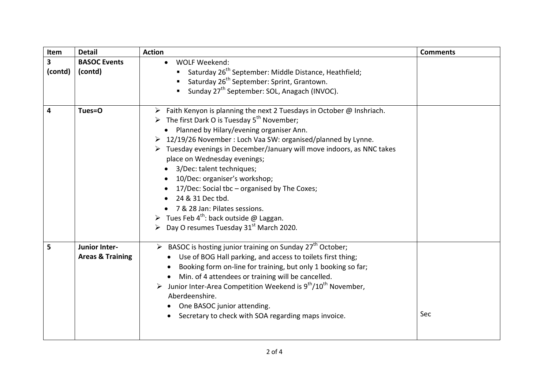| Item         | <b>Detail</b>                                | <b>Action</b>                                                                                                                                                                                                                                                                                                                                                                                                                                                                                                                                                                                                                                                               | <b>Comments</b> |
|--------------|----------------------------------------------|-----------------------------------------------------------------------------------------------------------------------------------------------------------------------------------------------------------------------------------------------------------------------------------------------------------------------------------------------------------------------------------------------------------------------------------------------------------------------------------------------------------------------------------------------------------------------------------------------------------------------------------------------------------------------------|-----------------|
| 3<br>(contd) | <b>BASOC Events</b><br>(contd)               | <b>WOLF Weekend:</b><br>Saturday 26 <sup>th</sup> September: Middle Distance, Heathfield;<br>Saturday $26^{th}$ September: Sprint, Grantown.<br>■ Sunday 27 <sup>th</sup> September: SOL, Anagach (INVOC).                                                                                                                                                                                                                                                                                                                                                                                                                                                                  |                 |
| 4            | Tues=0                                       | Faith Kenyon is planning the next 2 Tuesdays in October @ Inshriach.<br>➤<br>$\triangleright$ The first Dark O is Tuesday 5 <sup>th</sup> November;<br>Planned by Hilary/evening organiser Ann.<br>> 12/19/26 November: Loch Vaa SW: organised/planned by Lynne.<br>> Tuesday evenings in December/January will move indoors, as NNC takes<br>place on Wednesday evenings;<br>3/Dec: talent techniques;<br>10/Dec: organiser's workshop;<br>17/Dec: Social tbc - organised by The Coxes;<br>24 & 31 Dec tbd.<br>• 7 & 28 Jan: Pilates sessions.<br>Tues Feb 4 <sup>th</sup> : back outside @ Laggan.<br>$\triangleright$ Day O resumes Tuesday 31 <sup>st</sup> March 2020. |                 |
| 5            | Junior Inter-<br><b>Areas &amp; Training</b> | $\triangleright$ BASOC is hosting junior training on Sunday 27 <sup>th</sup> October;<br>Use of BOG Hall parking, and access to toilets first thing;<br>Booking form on-line for training, but only 1 booking so far;<br>Min. of 4 attendees or training will be cancelled.<br>> Junior Inter-Area Competition Weekend is $9^{th}/10^{th}$ November,<br>Aberdeenshire.<br>One BASOC junior attending.<br>Secretary to check with SOA regarding maps invoice.<br>$\bullet$                                                                                                                                                                                                   | Sec             |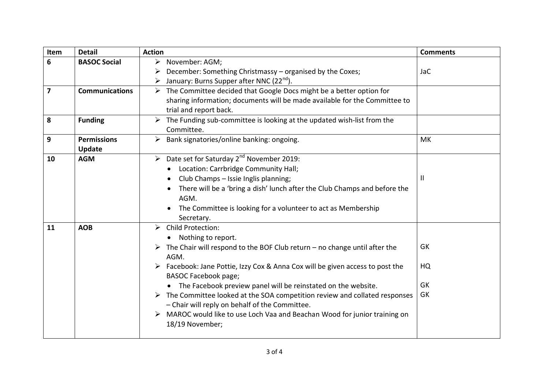| Item | <b>Detail</b>                                                                                                                                                                                          | <b>Action</b>                                                                                                                                                                                                                                                                                                                                                                                                                                                                                                                                                    | <b>Comments</b>      |
|------|--------------------------------------------------------------------------------------------------------------------------------------------------------------------------------------------------------|------------------------------------------------------------------------------------------------------------------------------------------------------------------------------------------------------------------------------------------------------------------------------------------------------------------------------------------------------------------------------------------------------------------------------------------------------------------------------------------------------------------------------------------------------------------|----------------------|
| 6    | <b>BASOC Social</b>                                                                                                                                                                                    | > November: AGM;<br>December: Something Christmassy - organised by the Coxes;                                                                                                                                                                                                                                                                                                                                                                                                                                                                                    | <b>JaC</b>           |
|      |                                                                                                                                                                                                        | January: Burns Supper after NNC (22 <sup>nd</sup> ).                                                                                                                                                                                                                                                                                                                                                                                                                                                                                                             |                      |
| 7    | <b>Communications</b><br>> The Committee decided that Google Docs might be a better option for<br>sharing information; documents will be made available for the Committee to<br>trial and report back. |                                                                                                                                                                                                                                                                                                                                                                                                                                                                                                                                                                  |                      |
| 8    | <b>Funding</b>                                                                                                                                                                                         | $\triangleright$ The Funding sub-committee is looking at the updated wish-list from the<br>Committee.                                                                                                                                                                                                                                                                                                                                                                                                                                                            |                      |
| 9    | <b>Permissions</b><br><b>Update</b>                                                                                                                                                                    | Bank signatories/online banking: ongoing.<br>$\blacktriangleright$                                                                                                                                                                                                                                                                                                                                                                                                                                                                                               | MK                   |
| 10   | <b>AGM</b>                                                                                                                                                                                             | $\triangleright$ Date set for Saturday 2 <sup>nd</sup> November 2019:<br>Location: Carrbridge Community Hall;<br>Club Champs - Issie Inglis planning;<br>There will be a 'bring a dish' lunch after the Club Champs and before the<br>AGM.<br>The Committee is looking for a volunteer to act as Membership<br>Secretary.                                                                                                                                                                                                                                        | Ш                    |
| 11   | <b>AOB</b>                                                                                                                                                                                             | > Child Protection:<br>Nothing to report.<br>The Chair will respond to the BOF Club return $-$ no change until after the<br>AGM.<br>Facebook: Jane Pottie, Izzy Cox & Anna Cox will be given access to post the<br><b>BASOC Facebook page;</b><br>• The Facebook preview panel will be reinstated on the website.<br>$\triangleright$ The Committee looked at the SOA competition review and collated responses<br>- Chair will reply on behalf of the Committee.<br>MAROC would like to use Loch Vaa and Beachan Wood for junior training on<br>18/19 November; | GK<br>HQ<br>GK<br>GK |